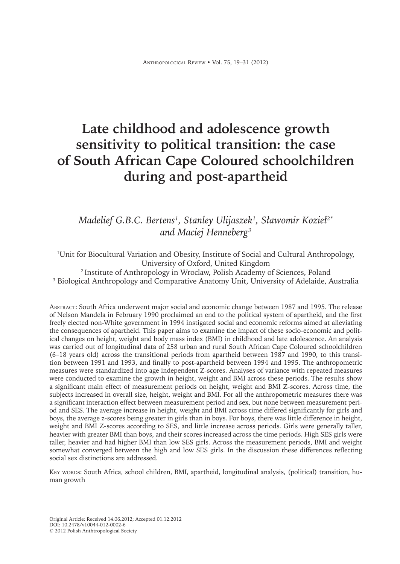# **Late childhood and adolescence growth sensitivity to political transition: the case of South African Cape Coloured schoolchildren during and post-apartheid**

# *Madelief G.B.C. Bertens<sup>1</sup> , Stanley Ulijaszek<sup>1</sup> , Sławomir Kozieł 2\* and Maciej Henneberg<sup>3</sup>*

1 Unit for Biocultural Variation and Obesity, Institute of Social and Cultural Anthropology, University of Oxford, United Kingdom

<sup>2</sup> Institute of Anthropology in Wroclaw, Polish Academy of Sciences, Poland <sup>3</sup> Biological Anthropology and Comparative Anatomy Unit, University of Adelaide, Australia

Abstract: South Africa underwent major social and economic change between 1987 and 1995. The release of Nelson Mandela in February 1990 proclaimed an end to the political system of apartheid, and the first freely elected non-White government in 1994 instigated social and economic reforms aimed at alleviating the consequences of apartheid. This paper aims to examine the impact of these socio-economic and political changes on height, weight and body mass index (BMI) in childhood and late adolescence. An analysis was carried out of longitudinal data of 258 urban and rural South African Cape Coloured schoolchildren (6–18 years old) across the transitional periods from apartheid between 1987 and 1990, to this transition between 1991 and 1993, and finally to post-apartheid between 1994 and 1995. The anthropometric measures were standardized into age independent Z-scores. Analyses of variance with repeated measures were conducted to examine the growth in height, weight and BMI across these periods. The results show a significant main effect of measurement periods on height, weight and BMI Z-scores. Across time, the subjects increased in overall size, height, weight and BMI. For all the anthropometric measures there was a significant interaction effect between measurement period and sex, but none between measurement period and SES. The average increase in height, weight and BMI across time differed significantly for girls and boys, the average z-scores being greater in girls than in boys. For boys, there was little difference in height, weight and BMI Z-scores according to SES, and little increase across periods. Girls were generally taller, heavier with greater BMI than boys, and their scores increased across the time periods. High SES girls were taller, heavier and had higher BMI than low SES girls. Across the measurement periods, BMI and weight somewhat converged between the high and low SES girls. In the discussion these differences reflecting social sex distinctions are addressed.

Key words: South Africa, school children, BMI, apartheid, longitudinal analysis, (political) transition, human growth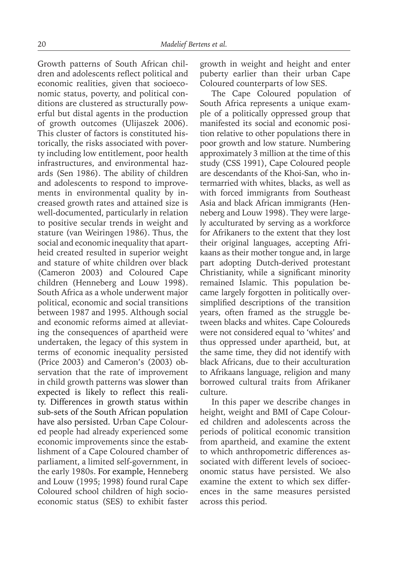Growth patterns of South African children and adolescents reflect political and economic realities, given that socioeconomic status, poverty, and political conditions are clustered as structurally powerful but distal agents in the production of growth outcomes (Ulijaszek 2006). This cluster of factors is constituted historically, the risks associated with poverty including low entitlement, poor health infrastructures, and environmental hazards (Sen 1986). The ability of children and adolescents to respond to improvements in environmental quality by increased growth rates and attained size is well-documented, particularly in relation to positive secular trends in weight and stature (van Weiringen 1986). Thus, the social and economic inequality that apartheid created resulted in superior weight and stature of white children over black (Cameron 2003) and Coloured Cape children (Henneberg and Louw 1998). South Africa as a whole underwent major political, economic and social transitions between 1987 and 1995. Although social and economic reforms aimed at alleviating the consequences of apartheid were undertaken, the legacy of this system in terms of economic inequality persisted (Price 2003) and Cameron's (2003) observation that the rate of improvement in child growth patterns was slower than expected is likely to reflect this reality. Differences in growth status within sub-sets of the South African population have also persisted. Urban Cape Coloured people had already experienced some economic improvements since the establishment of a Cape Coloured chamber of parliament, a limited self-government, in the early 1980s. For example, Henneberg and Louw (1995; 1998) found rural Cape Coloured school children of high socioeconomic status (SES) to exhibit faster

growth in weight and height and enter puberty earlier than their urban Cape Coloured counterparts of low SES.

The Cape Coloured population of South Africa represents a unique example of a politically oppressed group that manifested its social and economic position relative to other populations there in poor growth and low stature. Numbering approximately 3 million at the time of this study (CSS 1991), Cape Coloured people are descendants of the Khoi-San, who intermarried with whites, blacks, as well as with forced immigrants from Southeast Asia and black African immigrants (Henneberg and Louw 1998). They were largely acculturated by serving as a workforce for Afrikaners to the extent that they lost their original languages, accepting Afrikaans as their mother tongue and, in large part adopting Dutch-derived protestant Christianity, while a significant minority remained Islamic. This population became largely forgotten in politically oversimplified descriptions of the transition years, often framed as the struggle between blacks and whites. Cape Coloureds were not considered equal to 'whites' and thus oppressed under apartheid, but, at the same time, they did not identify with black Africans, due to their acculturation to Afrikaans language, religion and many borrowed cultural traits from Afrikaner culture.

In this paper we describe changes in height, weight and BMI of Cape Coloured children and adolescents across the periods of political economic transition from apartheid, and examine the extent to which anthropometric differences associated with different levels of socioeconomic status have persisted. We also examine the extent to which sex differences in the same measures persisted across this period.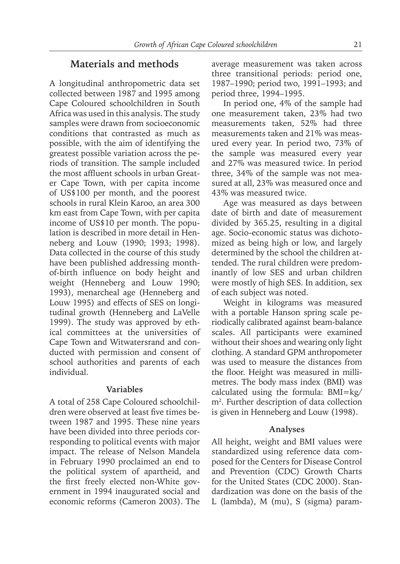# **Materials and methods**

A longitudinal anthropometric data set collected between 1987 and 1995 among Cape Coloured schoolchildren in South Africa was used in this analysis. The study samples were drawn from socioeconomic conditions that contrasted as much as possible, with the aim of identifying the greatest possible variation across the periods of transition. The sample included the most affluent schools in urban Greater Cape Town, with per capita income of US\$100 per month, and the poorest schools in rural Klein Karoo, an area 300 km east from Cape Town, with per capita income of US\$10 per month. The population is described in more detail in Henneberg and Louw (1990; 1993; 1998). Data collected in the course of this study have been published addressing monthof-birth influence on body height and weight (Henneberg and Louw 1990; 1993), menarcheal age (Henneberg and Louw 1995) and effects of SES on longitudinal growth (Henneberg and LaVelle 1999). The study was approved by ethical committees at the universities of Cape Town and Witwatersrand and conducted with permission and consent of school authorities and parents of each individual.

### **Variables**

A total of 258 Cape Coloured schoolchildren were observed at least five times between 1987 and 1995. These nine years have been divided into three periods corresponding to political events with major impact. The release of Nelson Mandela in February 1990 proclaimed an end to the political system of apartheid, and the first freely elected non-White government in 1994 inaugurated social and economic reforms (Cameron 2003). The

average measurement was taken across three transitional periods: period one, 1987–1990; period two, 1991–1993; and period three, 1994–1995.

In period one, 4% of the sample had one measurement taken, 23% had two measurements taken, 52% had three measurements taken and 21% was measured every year. In period two, 73% of the sample was measured every year and 27% was measured twice. In period three, 34% of the sample was not measured at all, 23% was measured once and 43% was measured twice.

Age was measured as days between date of birth and date of measurement divided by 365.25, resulting in a digital age. Socio-economic status was dichotomized as being high or low, and largely determined by the school the children attended. The rural children were predominantly of low SES and urban children were mostly of high SES. In addition, sex of each subject was noted.

Weight in kilograms was measured with a portable Hanson spring scale periodically calibrated against beam-balance scales. All participants were examined without their shoes and wearing only light clothing. A standard GPM anthropometer was used to measure the distances from the floor. Height was measured in millimetres. The body mass index (BMI) was calculated using the formula: BMI=kg/ m2 . Further description of data collection is given in Henneberg and Louw (1998).

### **Analyses**

All height, weight and BMI values were standardized using reference data composed for the Centers for Disease Control and Prevention (CDC) Growth Charts for the United States (CDC 2000). Standardization was done on the basis of the L (lambda), M (mu), S (sigma) param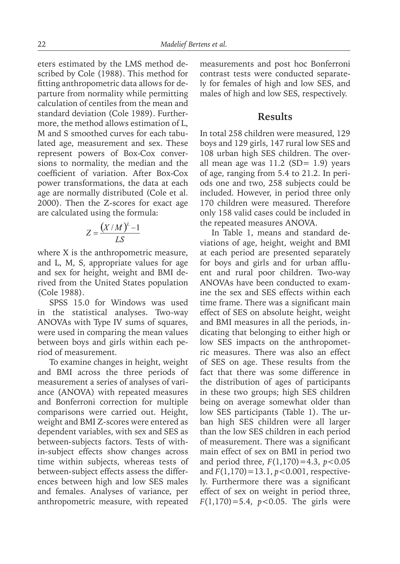eters estimated by the LMS method described by Cole (1988). This method for fitting anthropometric data allows for departure from normality while permitting calculation of centiles from the mean and standard deviation (Cole 1989). Furthermore, the method allows estimation of L, M and S smoothed curves for each tabulated age, measurement and sex. These represent powers of Box-Cox conversions to normality, the median and the coefficient of variation. After Box-Cox power transformations, the data at each age are normally distributed (Cole et al. 2000). Then the Z-scores for exact age are calculated using the formula:

$$
Z = \frac{(X/M)^L - 1}{LS}
$$

where X is the anthropometric measure, and L, M, S, appropriate values for age and sex for height, weight and BMI derived from the United States population (Cole 1988).

SPSS 15.0 for Windows was used in the statistical analyses. Two-way ANOVAs with Type IV sums of squares, were used in comparing the mean values between boys and girls within each period of measurement.

To examine changes in height, weight and BMI across the three periods of measurement a series of analyses of variance (ANOVA) with repeated measures and Bonferroni correction for multiple comparisons were carried out. Height, weight and BMI Z-scores were entered as dependent variables, with sex and SES as between-subjects factors. Tests of within-subject effects show changes across time within subjects, whereas tests of between-subject effects assess the differences between high and low SES males and females. Analyses of variance, per anthropometric measure, with repeated measurements and post hoc Bonferroni contrast tests were conducted separately for females of high and low SES, and males of high and low SES, respectively.

# **Results**

In total 258 children were measured, 129 boys and 129 girls, 147 rural low SES and 108 urban high SES children. The overall mean age was  $11.2$  (SD= 1.9) years of age, ranging from 5.4 to 21.2. In periods one and two, 258 subjects could be included. However, in period three only 170 children were measured. Therefore only 158 valid cases could be included in the repeated measures ANOVA.

In Table 1, means and standard deviations of age, height, weight and BMI at each period are presented separately for boys and girls and for urban affluent and rural poor children. Two-way ANOVAs have been conducted to examine the sex and SES effects within each time frame. There was a significant main effect of SES on absolute height, weight and BMI measures in all the periods, indicating that belonging to either high or low SES impacts on the anthropometric measures. There was also an effect of SES on age. These results from the fact that there was some difference in the distribution of ages of participants in these two groups; high SES children being on average somewhat older than low SES participants (Table 1). The urban high SES children were all larger than the low SES children in each period of measurement. There was a significant main effect of sex on BMI in period two and period three, *F*(1,170)=4.3, *p*<0.05 and *F*(1,170)=13.1, *p*<0.001, respectively. Furthermore there was a significant effect of sex on weight in period three, *F*(1,170)=5.4, *p*<0.05. The girls were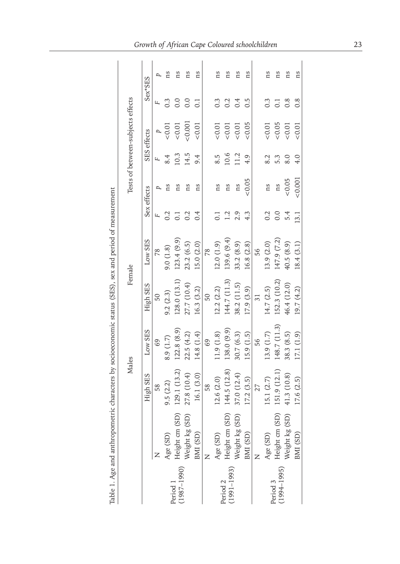|                                                                                                                                | Table 1. Age and anthropometric characters by socioeconomic status (SES), sex and period of measurement |              |              |              |             |                    |             |      |                                   |                  |    |
|--------------------------------------------------------------------------------------------------------------------------------|---------------------------------------------------------------------------------------------------------|--------------|--------------|--------------|-------------|--------------------|-------------|------|-----------------------------------|------------------|----|
|                                                                                                                                |                                                                                                         | Males        |              | Female       |             |                    |             |      | Tests of between-subjects effects |                  |    |
|                                                                                                                                |                                                                                                         | High SES     | Low SES      | High SES     | Low SES     |                    | Sex effects |      | SES effects                       | Sex*SES          |    |
|                                                                                                                                |                                                                                                         | 58           | 69           | 50           | 78          | щ                  |             | щ    |                                   | щ                |    |
|                                                                                                                                | Age (SD)                                                                                                | 9.5(2.2)     | 8.9 (1.7)    | 9.2(2.3)     | 9.0(1.8)    | 0.2                | ns          | 8.4  | $\frac{1}{2}$                     | $0.\overline{3}$ | ns |
| Period 1<br>(1987–1990) $\frac{1}{1}$                                                                                          | (SD)<br>Height cm (SD)<br>Weight kg (SD)                                                                | 129.1(13.2)  | 122.8(8.9)   | 128.0(13.1)  | 123.4(9.9)  | $\overline{\circ}$ | ns          | 10.3 | 0.01                              | 0.0              | ns |
|                                                                                                                                |                                                                                                         | 27.8 (10.4)  | 22.5(4.2)    | 27.7 (10.4)  | 23.2(6.5)   | 0.2                | ns          | 14.5 | &0.001                            | $_{\rm 0.0}$     | ns |
|                                                                                                                                | BMI (SD)                                                                                                | 16.1(3.0)    | 14.8 (1.4)   | 16.3(3.2)    | 15.0 (2.0)  | 0.4                | ns          | 9.4  | < 0.01                            |                  | ns |
|                                                                                                                                |                                                                                                         | 58           | 69           | 50           | 78          |                    |             |      |                                   |                  |    |
| $\begin{array}{ll} \textrm{Period 2} & \textrm{Age (SD)}\\ \textrm{(1991-1993)} & \textrm{Height cm}\\ \textrm{ } \end{array}$ |                                                                                                         | 12.6(2.0)    | 11.9(1.8)    | 12.2(2.2)    | 12.0(1.9)   | $\overline{\circ}$ | ns          | 8.5  | 0.01                              | $0.\overline{3}$ | ns |
|                                                                                                                                | (SD)                                                                                                    | 144.5 (12.8) | 138.0 (9.9)  | 144.7 (11.3) | 139.6(9.4)  | $\overline{2}$     | ns          | 10.6 | 0.01                              | 0.2              | ns |
|                                                                                                                                | Weight kg (SD)                                                                                          | 37.0 (12.4)  | 30.7 (6.3)   | 38.2 (11.5)  | 33.2 (8.9)  | 2.9                | ns          | 11.2 | 0.01                              | 0.4              | ns |
|                                                                                                                                | BMI (SD)                                                                                                | [7.2 (3.5)   | 5.9(1.5)     | 17.9(3.9)    | 16.8 (2.8)  | 4.3                | &0.05       | 4.9  | &0.05                             | 0.5              | ns |
|                                                                                                                                |                                                                                                         | 27           | 56           |              | 56          |                    |             |      |                                   |                  |    |
|                                                                                                                                | Period 3<br>(1994–1995) Height cm (5                                                                    | 15.1 (2.7)   | 13.9(1.7)    | 14.7(2.5)    | 13.9 (2.0)  | 0.2                | ns          | 8.2  | 0.01                              | $0.\overline{3}$ | ns |
|                                                                                                                                | (SD)                                                                                                    | 151.9 (12.1) | 148.7 (11.3) | 152.3 (10.2) | 147.9 (7.2) | 0.0                | ns          | 5.3  | ${}_{<0.05}$                      | $\Xi$            | ns |
|                                                                                                                                | (SD)<br>Weight kg                                                                                       | 41.3 (10.8)  | 38.3 (8.5)   | 46.4 (12.0)  | 40.5 (8.9)  | 5.4                | &0.05       | 8.0  | 0.01                              |                  | ns |
|                                                                                                                                | BMI (SD)                                                                                                | 17.6 (2.5)   | 17.1 (1.9)   | 19.7 (4.2)   | 18.4(3.1)   | 13.1               | 0.001       | 4.0  | < 0.01                            | $0.\overline{8}$ | ns |
|                                                                                                                                |                                                                                                         |              |              |              |             |                    |             |      |                                   |                  |    |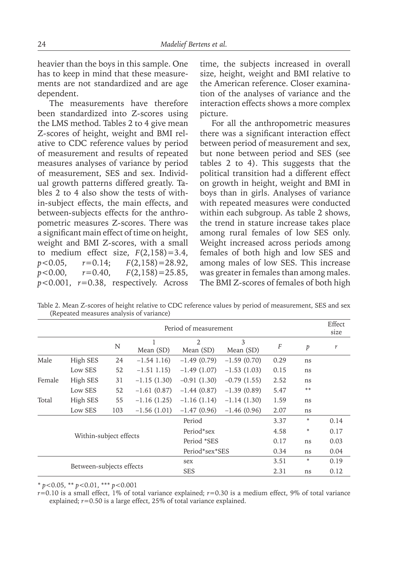heavier than the boys in this sample. One has to keep in mind that these measurements are not standardized and are age dependent.

The measurements have therefore been standardized into Z-scores using the LMS method. Tables 2 to 4 give mean Z-scores of height, weight and BMI relative to CDC reference values by period of measurement and results of repeated measures analyses of variance by period of measurement, SES and sex. Individual growth patterns differed greatly. Tables 2 to 4 also show the tests of within-subject effects, the main effects, and between-subjects effects for the anthropometric measures Z-scores. There was a significant main effect of time on height, weight and BMI Z-scores, with a small to medium effect size,  $F(2,158)=3.4$ , *p*<0.05, *r*=0.14; *F*(2,158)=28.92, *p*<0.00, *r*=0.40, *F*(2,158)=25.85, *p*<0.001, *r*=0.38, respectively. Across

time, the subjects increased in overall size, height, weight and BMI relative to the American reference. Closer examination of the analyses of variance and the interaction effects shows a more complex picture.

For all the anthropometric measures there was a significant interaction effect between period of measurement and sex, but none between period and SES (see tables 2 to 4). This suggests that the political transition had a different effect on growth in height, weight and BMI in boys than in girls. Analyses of variance with repeated measures were conducted within each subgroup. As table 2 shows, the trend in stature increase takes place among rural females of low SES only. Weight increased across periods among females of both high and low SES and among males of low SES. This increase was greater in females than among males. The BMI Z-scores of females of both high

Table 2. Mean Z-scores of height relative to CDC reference values by period of measurement, SES and sex (Repeated measures analysis of variance)

|        |                          | Period of measurement |               |                             |                |      |    | Effect<br>size |
|--------|--------------------------|-----------------------|---------------|-----------------------------|----------------|------|----|----------------|
|        |                          |                       | 1             | $\overline{2}$<br>Mean (SD) | 3<br>Mean (SD) |      |    |                |
|        |                          | N                     | Mean (SD)     |                             |                | F    | p  | r              |
| Male   | High SES                 | 24                    | $-1.54$ 1.16) | $-1.49(0.79)$               | $-1.59(0.70)$  | 0.29 | ns |                |
|        | Low SES                  | 52                    | $-1.51$ 1.15) | $-1.49(1.07)$               | $-1.53(1.03)$  | 0.15 | ns |                |
| Female | High SES                 | 31                    | $-1.15(1.30)$ | $-0.91(1.30)$               | $-0.79(1.55)$  | 2.52 | ns |                |
|        | Low SES                  | 52                    | $-1.61(0.87)$ | $-1.44(0.87)$               | $-1.39(0.89)$  | 5.47 | ** |                |
| Total  | High SES                 | 55                    | $-1.16(1.25)$ | $-1.16(1.14)$               | $-1.14(1.30)$  | 1.59 | ns |                |
|        | Low SES                  | 103                   | $-1.56(1.01)$ | $-1.47(0.96)$               | $-1.46(0.96)$  | 2.07 | ns |                |
|        | Period                   |                       |               |                             |                | 3.37 | ∗  | 0.14           |
|        |                          |                       |               | Period*sex                  |                | 4.58 | ∗  | 0.17           |
|        | Within-subject effects   |                       |               | Period *SES                 |                | 0.17 | ns | 0.03           |
|        |                          |                       |               | Period*sex*SES              |                | 0.34 | ns | 0.04           |
|        |                          |                       |               | sex                         |                | 3.51 | ∗  | 0.19           |
|        | Between-subjects effects |                       |               |                             |                | 2.31 | ns | 0.12           |

\* *p*<0.05, \*\* *p*<0.01, \*\*\* *p*<0.001

*r*=0.10 is a small effect, 1% of total variance explained; *r*=0.30 is a medium effect, 9% of total variance explained; *r*=0.50 is a large effect, 25% of total variance explained.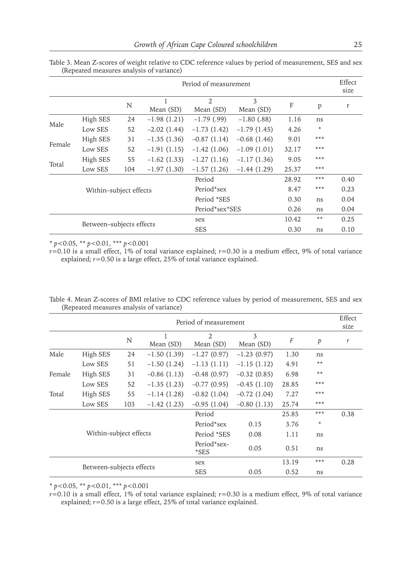|        |                          | Period of measurement |                |                             |                |       | Effect<br>size |      |
|--------|--------------------------|-----------------------|----------------|-----------------------------|----------------|-------|----------------|------|
|        |                          | N                     | 1<br>Mean (SD) | $\overline{2}$<br>Mean (SD) | 3<br>Mean (SD) | F     | p              | r    |
| Male   | High SES                 | 24                    | $-1.98(1.21)$  | $-1.79$ (.99)               | $-1.80$ (.88)  | 1.16  | ns             |      |
|        | Low SES                  | 52                    | $-2.02(1.44)$  | $-1.73(1.42)$               | $-1.79(1.45)$  | 4.26  | $\ast$         |      |
| Female | High SES                 | 31                    | $-1.35(1.36)$  | $-0.87(1.14)$               | $-0.68(1.46)$  | 9.01  | ***            |      |
|        | Low SES                  | 52                    | $-1.91(1.15)$  | $-1.42(1.06)$               | $-1.09(1.01)$  | 32.17 | ***            |      |
| Total  | High SES                 | 55                    | $-1.62(1.33)$  | $-1.27(1.16)$               | $-1.17(1.36)$  | 9.05  | ***            |      |
|        | Low SES                  | 104                   | $-1.97(1.30)$  | $-1.57(1.26)$               | $-1.44(1.29)$  | 25.37 | ***            |      |
|        | Within-subject effects   |                       |                | Period                      |                | 28.92 | ***            | 0.40 |
|        |                          |                       |                | Period*sex                  |                | 8.47  | ***            | 0.23 |
|        |                          |                       |                | Period *SES                 |                | 0.30  | ns             | 0.04 |
|        |                          |                       |                | Period*sex*SES              |                | 0.26  | ns             | 0.04 |
|        |                          |                       |                | sex                         |                | 10.42 | $***$          | 0.25 |
|        | Between-subjects effects |                       |                | <b>SES</b>                  |                | 0.30  | ns             | 0.10 |

Table 3. Mean Z-scores of weight relative to CDC reference values by period of measurement, SES and sex (Repeated measures analysis of variance)

\* *p*<0.05, \*\* *p*<0.01, \*\*\* *p*<0.001

*r*=0.10 is a small effect, 1% of total variance explained; *r*=0.30 is a medium effect, 9% of total variance explained; *r*=0.50 is a large effect, 25% of total variance explained.

|                                                    |          | Period of measurement |                |                             |                |          |                  |      |
|----------------------------------------------------|----------|-----------------------|----------------|-----------------------------|----------------|----------|------------------|------|
|                                                    |          | N                     | 1<br>Mean (SD) | $\overline{2}$<br>Mean (SD) | 3<br>Mean (SD) | $\cal F$ | $\boldsymbol{p}$ | r    |
| Male                                               | High SES | 24                    | $-1.50(1.39)$  | $-1.27(0.97)$               | $-1.23(0.97)$  | 1.30     | ns               |      |
|                                                    | Low SES  | 51                    | $-1.50(1.24)$  | $-1.13(1.11)$               | $-1.15(1.12)$  | 4.91     | **               |      |
| Female                                             | High SES | 31                    | $-0.86(1.13)$  | $-0.48(0.97)$               | $-0.32(0.85)$  | 6.98     | **               |      |
|                                                    | Low SES  | 52                    | $-1.35(1.23)$  | $-0.77(0.95)$               | $-0.45(1.10)$  | 28.85    | ***              |      |
| Total                                              | High SES | 55                    | $-1.14(1.28)$  | $-0.82(1.04)$               | $-0.72(1.04)$  | 7.27     | ***              |      |
|                                                    | Low SES  | 103                   | $-1.42(1.23)$  | $-0.95(1.04)$               | $-0.80(1.13)$  | 25.74    | ***              |      |
| Period                                             |          |                       |                |                             |                | 25.85    | ***              | 0.38 |
| Within-subject effects<br>Between-subjects effects |          |                       |                | Period*sex                  | 0.15           | 3.76     | *                |      |
|                                                    |          |                       |                | Period *SES                 | 0.08           | 1.11     | ns               |      |
|                                                    |          |                       |                | Period*sex-<br>*SES         | 0.05           | 0.51     | ns               |      |
|                                                    |          |                       |                | sex                         |                | 13.19    | ***              | 0.28 |
|                                                    |          |                       |                | <b>SES</b>                  | 0.05           | 0.52     | ns               |      |

Table 4. Mean Z-scores of BMI relative to CDC reference values by period of measurement, SES and sex (Repeated measures analysis of variance)

\* *p*<0.05, \*\* *p*<0.01, \*\*\* *p*<0.001

*r*=0.10 is a small effect, 1% of total variance explained; *r*=0.30 is a medium effect, 9% of total variance explained; *r*=0.50 is a large effect, 25% of total variance explained.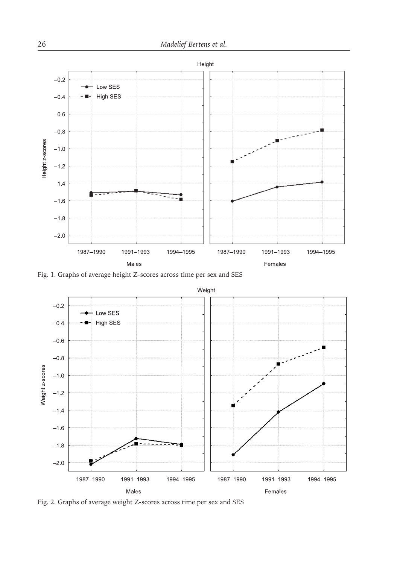

Fig. 1. Graphs of average height Z-scores across time per sex and SES



Fig. 2. Graphs of average weight Z-scores across time per sex and SES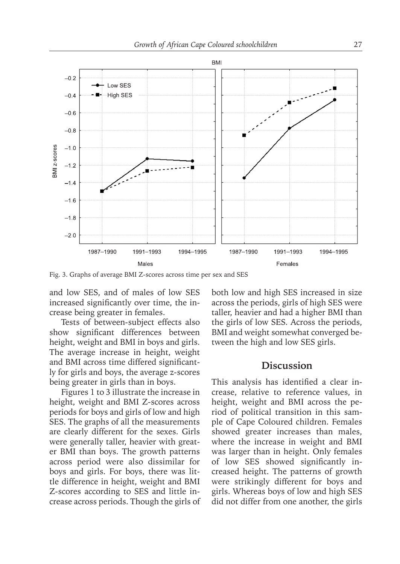

Fig. 3. Graphs of average BMI Z-scores across time per sex and SES

and low SES, and of males of low SES increased significantly over time, the increase being greater in females.

Tests of between-subject effects also show significant differences between height, weight and BMI in boys and girls. The average increase in height, weight and BMI across time differed significantly for girls and boys, the average z-scores being greater in girls than in boys.

Figures 1 to 3 illustrate the increase in height, weight and BMI Z-scores across periods for boys and girls of low and high SES. The graphs of all the measurements are clearly different for the sexes. Girls were generally taller, heavier with greater BMI than boys. The growth patterns across period were also dissimilar for boys and girls. For boys, there was little difference in height, weight and BMI Z-scores according to SES and little increase across periods. Though the girls of both low and high SES increased in size across the periods, girls of high SES were taller, heavier and had a higher BMI than the girls of low SES. Across the periods, BMI and weight somewhat converged between the high and low SES girls.

# **Discussion**

This analysis has identified a clear increase, relative to reference values, in height, weight and BMI across the period of political transition in this sample of Cape Coloured children. Females showed greater increases than males, where the increase in weight and BMI was larger than in height. Only females of low SES showed significantly increased height. The patterns of growth were strikingly different for boys and girls. Whereas boys of low and high SES did not differ from one another, the girls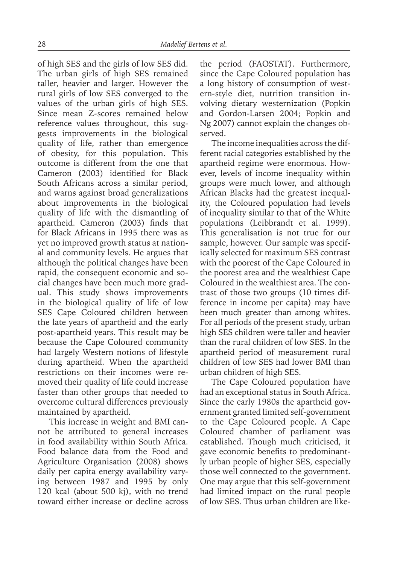of high SES and the girls of low SES did. The urban girls of high SES remained taller, heavier and larger. However the rural girls of low SES converged to the values of the urban girls of high SES. Since mean Z-scores remained below reference values throughout, this suggests improvements in the biological quality of life, rather than emergence of obesity, for this population. This outcome is different from the one that Cameron (2003) identified for Black South Africans across a similar period, and warns against broad generalizations about improvements in the biological quality of life with the dismantling of apartheid. Cameron (2003) finds that for Black Africans in 1995 there was as yet no improved growth status at national and community levels. He argues that although the political changes have been rapid, the consequent economic and social changes have been much more gradual. This study shows improvements in the biological quality of life of low SES Cape Coloured children between the late years of apartheid and the early post-apartheid years. This result may be because the Cape Coloured community had largely Western notions of lifestyle during apartheid. When the apartheid restrictions on their incomes were removed their quality of life could increase faster than other groups that needed to overcome cultural differences previously maintained by apartheid.

This increase in weight and BMI cannot be attributed to general increases in food availability within South Africa. Food balance data from the Food and Agriculture Organisation (2008) shows daily per capita energy availability varying between 1987 and 1995 by only 120 kcal (about 500 kj), with no trend toward either increase or decline across the period (FAOSTAT). Furthermore, since the Cape Coloured population has a long history of consumption of western-style diet, nutrition transition involving dietary westernization (Popkin and Gordon-Larsen 2004; Popkin and Ng 2007) cannot explain the changes observed.

The income inequalities across the different racial categories established by the apartheid regime were enormous. However, levels of income inequality within groups were much lower, and although African Blacks had the greatest inequality, the Coloured population had levels of inequality similar to that of the White populations (Leibbrandt et al. 1999). This generalisation is not true for our sample, however. Our sample was specifically selected for maximum SES contrast with the poorest of the Cape Coloured in the poorest area and the wealthiest Cape Coloured in the wealthiest area. The contrast of those two groups (10 times difference in income per capita) may have been much greater than among whites. For all periods of the present study, urban high SES children were taller and heavier than the rural children of low SES. In the apartheid period of measurement rural children of low SES had lower BMI than urban children of high SES.

The Cape Coloured population have had an exceptional status in South Africa. Since the early 1980s the apartheid government granted limited self-government to the Cape Coloured people. A Cape Coloured chamber of parliament was established. Though much criticised, it gave economic benefits to predominantly urban people of higher SES, especially those well connected to the government. One may argue that this self-government had limited impact on the rural people of low SES. Thus urban children are like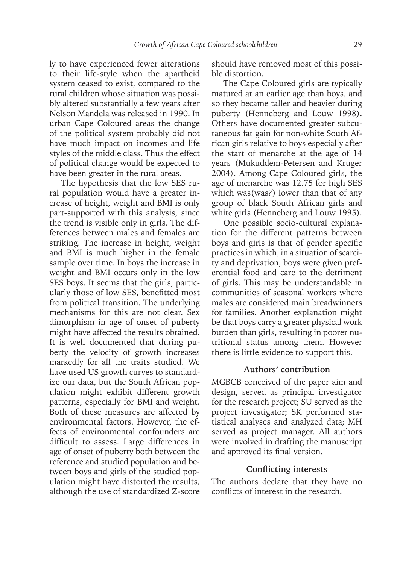ly to have experienced fewer alterations to their life-style when the apartheid system ceased to exist, compared to the rural children whose situation was possibly altered substantially a few years after Nelson Mandela was released in 1990. In urban Cape Coloured areas the change of the political system probably did not have much impact on incomes and life styles of the middle class. Thus the effect of political change would be expected to have been greater in the rural areas.

The hypothesis that the low SES rural population would have a greater increase of height, weight and BMI is only part-supported with this analysis, since the trend is visible only in girls. The differences between males and females are striking. The increase in height, weight and BMI is much higher in the female sample over time. In boys the increase in weight and BMI occurs only in the low SES boys. It seems that the girls, particularly those of low SES, benefitted most from political transition. The underlying mechanisms for this are not clear. Sex dimorphism in age of onset of puberty might have affected the results obtained. It is well documented that during puberty the velocity of growth increases markedly for all the traits studied. We have used US growth curves to standardize our data, but the South African population might exhibit different growth patterns, especially for BMI and weight. Both of these measures are affected by environmental factors. However, the effects of environmental confounders are difficult to assess. Large differences in age of onset of puberty both between the reference and studied population and between boys and girls of the studied population might have distorted the results, although the use of standardized Z-score

should have removed most of this possible distortion.

The Cape Coloured girls are typically matured at an earlier age than boys, and so they became taller and heavier during puberty (Henneberg and Louw 1998). Others have documented greater subcutaneous fat gain for non-white South African girls relative to boys especially after the start of menarche at the age of 14 years (Mukuddem-Petersen and Kruger 2004). Among Cape Coloured girls, the age of menarche was 12.75 for high SES which was(was?) lower than that of any group of black South African girls and white girls (Henneberg and Louw 1995).

One possible socio-cultural explanation for the different patterns between boys and girls is that of gender specific practices in which, in a situation of scarcity and deprivation, boys were given preferential food and care to the detriment of girls. This may be understandable in communities of seasonal workers where males are considered main breadwinners for families. Another explanation might be that boys carry a greater physical work burden than girls, resulting in poorer nutritional status among them. However there is little evidence to support this.

# **Authors' contribution**

MGBCB conceived of the paper aim and design, served as principal investigator for the research project; SU served as the project investigator; SK performed statistical analyses and analyzed data; MH served as project manager. All authors were involved in drafting the manuscript and approved its final version.

#### **Conflicting interests**

The authors declare that they have no conflicts of interest in the research.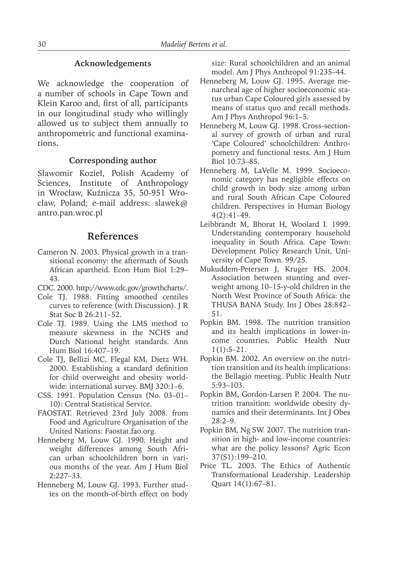#### **Acknowledgements**

We acknowledge the cooperation of a number of schools in Cape Town and Klein Karoo and, first of all, participants in our longitudinal study who willingly allowed us to subject them annually to anthropometric and functional examinations**.**

# **Corresponding author**

Sławomir Kozieł, Polish Academy of Sciences, Institute of Anthropology in Wrocław, Kuźnicza 35, 50-951 Wrocław, Poland; e-mail address: slawek@ antro.pan.wroc.pl

# **References**

- Cameron N. 2003. Physical growth in a transitional economy: the aftermath of South African apartheid. Econ Hum Biol 1:29– 43.
- CDC. 2000. http://www.cdc.gov/growthcharts/.
- Cole TJ. 1988. Fitting smoothed centiles curves to reference (with Discussion). J R Stat Soc B 26:211–52.
- Cole TJ. 1989. Using the LMS method to measure skewness in the NCHS and Dutch National height standards. Ann Hum Biol 16:407–19.
- Cole TJ, Bellizi MC, Flegal KM, Dietz WH. 2000. Establishing a standard definition for child overweight and obesity worldwide: international survey. BMJ 320:1–6.
- CSS. 1991. Population Census (No. 03–01– 10): Central Statistical Service.
- FAOSTAT. Retrieved 23rd July 2008. from Food and Agriculture Organisation of the United Nations: Faostat.fao.org.
- Henneberg M, Louw GJ. 1990. Height and weight differences among South African urban schoolchildren born in various months of the year. Am J Hum Biol 2:227–33.
- Henneberg M, Louw GJ. 1993. Further studies on the month-of-birth effect on body

size: Rural schoolchildren and an animal model. Am J Phys Anthropol 91:235–44.

- Henneberg M, Louw GJ. 1995. Average menarcheal age of higher socioeconomic status urban Cape Coloured girls assessed by means of status quo and recall methods. Am J Phys Anthropol 96:1–5.
- Henneberg M, Louw GJ. 1998. Cross-sectional survey of growth of urban and rural 'Cape Coloured' schoolchildren: Anthropometry and functional tests. Am J Hum Biol 10:73–85.
- Henneberg M, LaVelle M. 1999. Socioeconomic category has negligible effects on child growth in body size among urban and rural South African Cape Coloured children. Perspectives in Human Biology 4(2):41–49.
- Leibbrandt M, Bhorat H, Woolard I. 1999. Understanding contemporary household inequality in South Africa. Cape Town: Development Policy Research Unit, University of Cape Town. 99/25.
- Mukuddem-Petersen J, Kruger HS. 2004. Association between stunting and overweight among 10–15-y-old children in the North West Province of South Africa: the THUSA BANA Study. Int J Obes 28:842– 51.
- Popkin BM. 1998. The nutrition transition and its health implications in lower-income countries. Public Health Nutr  $1(1):5-21.$
- Popkin BM. 2002. An overview on the nutrition transition and its health implications: the Bellagio meeting. Public Health Nutr 5:93–103.
- Popkin BM, Gordon-Larsen P. 2004. The nutrition transition: worldwide obesity dynamics and their determinants. Int J Obes 28:2–9.
- Popkin BM, Ng SW. 2007. The nutrition transition in high- and low-income countries: what are the policy lessons? Agric Econ 37(S1):199–210.
- Price TL. 2003. The Ethics of Authentic Transformational Leadership. Leadership Quart 14(1):67–81.